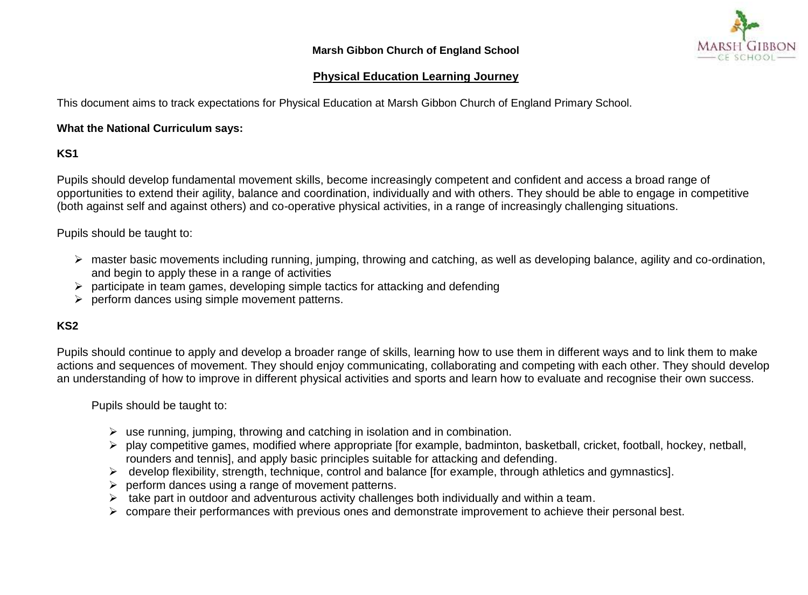

**Marsh Gibbon Church of England School**

## **Physical Education Learning Journey**

This document aims to track expectations for Physical Education at Marsh Gibbon Church of England Primary School.

## **What the National Curriculum says:**

**KS1** 

Pupils should develop fundamental movement skills, become increasingly competent and confident and access a broad range of opportunities to extend their agility, balance and coordination, individually and with others. They should be able to engage in competitive (both against self and against others) and co-operative physical activities, in a range of increasingly challenging situations.

Pupils should be taught to:

- master basic movements including running, jumping, throwing and catching, as well as developing balance, agility and co-ordination, and begin to apply these in a range of activities
- $\triangleright$  participate in team games, developing simple tactics for attacking and defending
- $\triangleright$  perform dances using simple movement patterns.

## **KS2**

Pupils should continue to apply and develop a broader range of skills, learning how to use them in different ways and to link them to make actions and sequences of movement. They should enjoy communicating, collaborating and competing with each other. They should develop an understanding of how to improve in different physical activities and sports and learn how to evaluate and recognise their own success.

Pupils should be taught to:

- $\triangleright$  use running, jumping, throwing and catching in isolation and in combination.
- $\triangleright$  play competitive games, modified where appropriate [for example, badminton, basketball, cricket, football, hockey, netball, rounders and tennis], and apply basic principles suitable for attacking and defending.
- $\triangleright$  develop flexibility, strength, technique, control and balance [for example, through athletics and gymnastics].
- $\triangleright$  perform dances using a range of movement patterns.
- $\triangleright$  take part in outdoor and adventurous activity challenges both individually and within a team.
- $\triangleright$  compare their performances with previous ones and demonstrate improvement to achieve their personal best.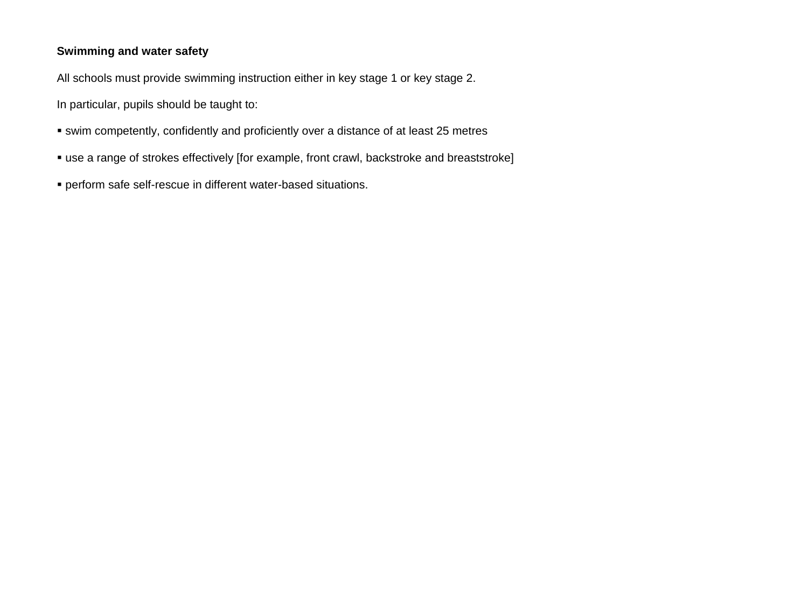## **Swimming and water safety**

All schools must provide swimming instruction either in key stage 1 or key stage 2.

In particular, pupils should be taught to:

- swim competently, confidently and proficiently over a distance of at least 25 metres
- use a range of strokes effectively [for example, front crawl, backstroke and breaststroke]
- perform safe self-rescue in different water-based situations.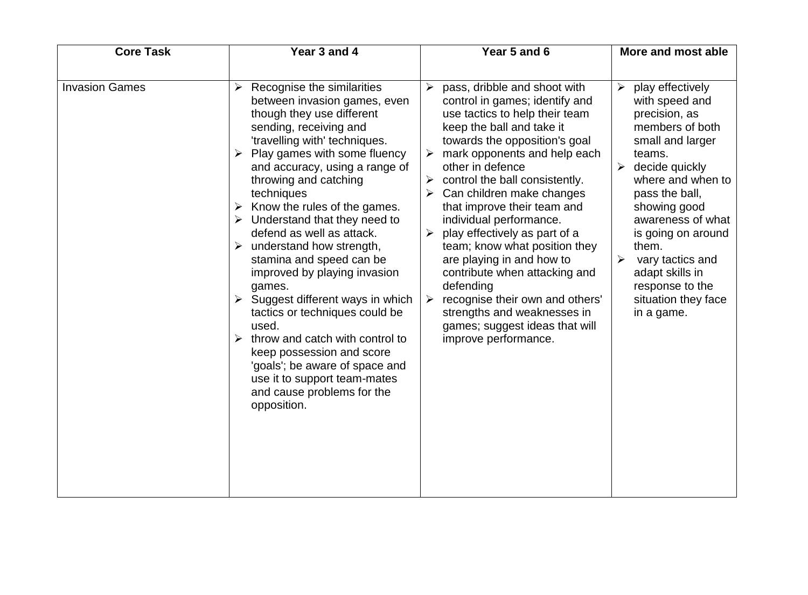| <b>Core Task</b>      | Year 3 and 4                                                                                                                                                                                                                                                                                                                                                                                                                                                                                                                                                                                                                                                                                                                                                                                                                       | Year 5 and 6                                                                                                                                                                                                                                                                                                                                                                                                                                                                                                                                                                                                                                                                         | More and most able                                                                                                                                                                                                                                                                                                                                                                                          |
|-----------------------|------------------------------------------------------------------------------------------------------------------------------------------------------------------------------------------------------------------------------------------------------------------------------------------------------------------------------------------------------------------------------------------------------------------------------------------------------------------------------------------------------------------------------------------------------------------------------------------------------------------------------------------------------------------------------------------------------------------------------------------------------------------------------------------------------------------------------------|--------------------------------------------------------------------------------------------------------------------------------------------------------------------------------------------------------------------------------------------------------------------------------------------------------------------------------------------------------------------------------------------------------------------------------------------------------------------------------------------------------------------------------------------------------------------------------------------------------------------------------------------------------------------------------------|-------------------------------------------------------------------------------------------------------------------------------------------------------------------------------------------------------------------------------------------------------------------------------------------------------------------------------------------------------------------------------------------------------------|
| <b>Invasion Games</b> | $\triangleright$ Recognise the similarities<br>between invasion games, even<br>though they use different<br>sending, receiving and<br>'travelling with' techniques.<br>$\triangleright$ Play games with some fluency<br>and accuracy, using a range of<br>throwing and catching<br>techniques<br>Know the rules of the games.<br>➤<br>$\triangleright$ Understand that they need to<br>defend as well as attack.<br>$\triangleright$ understand how strength,<br>stamina and speed can be<br>improved by playing invasion<br>games.<br>$\triangleright$ Suggest different ways in which<br>tactics or techniques could be<br>used.<br>$\triangleright$ throw and catch with control to<br>keep possession and score<br>'goals'; be aware of space and<br>use it to support team-mates<br>and cause problems for the<br>opposition. | $\triangleright$ pass, dribble and shoot with<br>control in games; identify and<br>use tactics to help their team<br>keep the ball and take it<br>towards the opposition's goal<br>mark opponents and help each<br>other in defence<br>$\triangleright$ control the ball consistently.<br>Can children make changes<br>that improve their team and<br>individual performance.<br>play effectively as part of a<br>➤<br>team; know what position they<br>are playing in and how to<br>contribute when attacking and<br>defending<br>recognise their own and others'<br>$\blacktriangleright$<br>strengths and weaknesses in<br>games; suggest ideas that will<br>improve performance. | play effectively<br>$\blacktriangleright$<br>with speed and<br>precision, as<br>members of both<br>small and larger<br>teams.<br>decide quickly<br>$\blacktriangleright$<br>where and when to<br>pass the ball,<br>showing good<br>awareness of what<br>is going on around<br>them.<br>vary tactics and<br>$\blacktriangleright$<br>adapt skills in<br>response to the<br>situation they face<br>in a game. |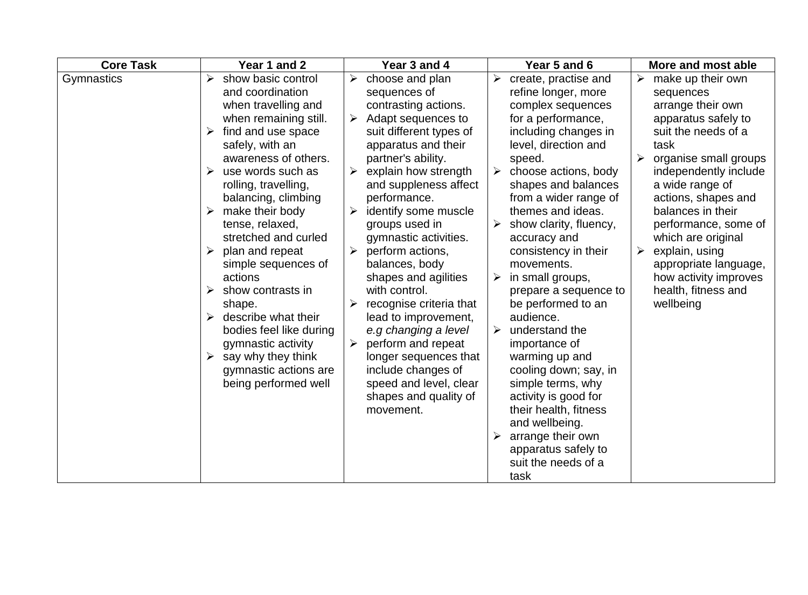| Gymnastics<br>$\triangleright$ show basic control<br>create, practise and<br>choose and plan<br>make up their own<br>$\blacktriangleright$<br>$\blacktriangleright$<br>$\blacktriangleright$<br>and coordination<br>refine longer, more<br>sequences of<br>sequences<br>when travelling and<br>contrasting actions.<br>complex sequences<br>arrange their own<br>when remaining still.<br>Adapt sequences to<br>for a performance,<br>apparatus safely to<br>$\blacktriangleright$<br>$\triangleright$ find and use space<br>suit different types of<br>including changes in<br>suit the needs of a<br>safely, with an<br>apparatus and their<br>level, direction and<br>task<br>partner's ability.<br>awareness of others.<br>speed.<br>use words such as<br>explain how strength<br>choose actions, body<br>➤<br>➤<br>rolling, travelling,<br>and suppleness affect<br>shapes and balances<br>a wide range of<br>from a wider range of<br>balancing, climbing<br>performance.<br>actions, shapes and<br>make their body<br>themes and ideas.<br>balances in their<br>identify some muscle<br>$\blacktriangleright$<br>➤<br>tense, relaxed,<br>groups used in<br>show clarity, fluency,<br>stretched and curled<br>gymnastic activities.<br>which are original<br>accuracy and<br>plan and repeat<br>perform actions,<br>consistency in their<br>explain, using<br>$\blacktriangleright$<br>➤<br>➤<br>balances, body<br>simple sequences of<br>movements.<br>in small groups,<br>actions<br>shapes and agilities<br>how activity improves<br>➤<br>with control.<br>health, fitness and<br>show contrasts in<br>prepare a sequence to<br>➤<br>recognise criteria that<br>be performed to an<br>wellbeing<br>shape.<br>describe what their<br>≻<br>lead to improvement,<br>audience.<br>bodies feel like during<br>e.g changing a level<br>understand the<br>gymnastic activity<br>perform and repeat<br>importance of<br>$\blacktriangleright$ | <b>Core Task</b> | Year 1 and 2 | Year 3 and 4 | Year 5 and 6 | More and most able                                                                              |
|------------------------------------------------------------------------------------------------------------------------------------------------------------------------------------------------------------------------------------------------------------------------------------------------------------------------------------------------------------------------------------------------------------------------------------------------------------------------------------------------------------------------------------------------------------------------------------------------------------------------------------------------------------------------------------------------------------------------------------------------------------------------------------------------------------------------------------------------------------------------------------------------------------------------------------------------------------------------------------------------------------------------------------------------------------------------------------------------------------------------------------------------------------------------------------------------------------------------------------------------------------------------------------------------------------------------------------------------------------------------------------------------------------------------------------------------------------------------------------------------------------------------------------------------------------------------------------------------------------------------------------------------------------------------------------------------------------------------------------------------------------------------------------------------------------------------------------------------------------------------------------------------------------------------------------------------|------------------|--------------|--------------|--------------|-------------------------------------------------------------------------------------------------|
| $\triangleright$ say why they think<br>longer sequences that<br>warming up and<br>include changes of<br>cooling down; say, in<br>gymnastic actions are<br>being performed well<br>speed and level, clear<br>simple terms, why<br>shapes and quality of<br>activity is good for<br>their health, fitness<br>movement.<br>and wellbeing.<br>arrange their own<br>apparatus safely to<br>suit the needs of a<br>task                                                                                                                                                                                                                                                                                                                                                                                                                                                                                                                                                                                                                                                                                                                                                                                                                                                                                                                                                                                                                                                                                                                                                                                                                                                                                                                                                                                                                                                                                                                              |                  |              |              |              | organise small groups<br>independently include<br>performance, some of<br>appropriate language, |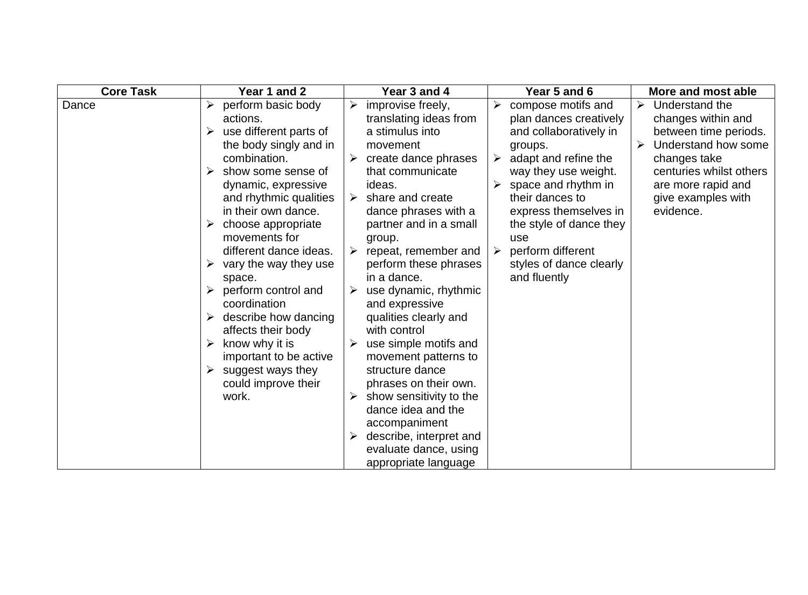| <b>Core Task</b> | Year 1 and 2                                                                                                                                                                                                                                                                                                                                                                                                                                                                               | Year 3 and 4                                                                                                                                                                                                                                                                                                                                                                                                                                                                                                                                                                                                              | Year 5 and 6                                                                                                                                                                                                                                                                                           | More and most able                                                                                                                                                                            |
|------------------|--------------------------------------------------------------------------------------------------------------------------------------------------------------------------------------------------------------------------------------------------------------------------------------------------------------------------------------------------------------------------------------------------------------------------------------------------------------------------------------------|---------------------------------------------------------------------------------------------------------------------------------------------------------------------------------------------------------------------------------------------------------------------------------------------------------------------------------------------------------------------------------------------------------------------------------------------------------------------------------------------------------------------------------------------------------------------------------------------------------------------------|--------------------------------------------------------------------------------------------------------------------------------------------------------------------------------------------------------------------------------------------------------------------------------------------------------|-----------------------------------------------------------------------------------------------------------------------------------------------------------------------------------------------|
| Dance            | perform basic body<br>actions.<br>use different parts of<br>the body singly and in<br>combination.<br>show some sense of<br>dynamic, expressive<br>and rhythmic qualities<br>in their own dance.<br>choose appropriate<br>movements for<br>different dance ideas.<br>vary the way they use<br>space.<br>perform control and<br>coordination<br>describe how dancing<br>affects their body<br>know why it is<br>important to be active<br>suggest ways they<br>could improve their<br>work. | improvise freely,<br>≻<br>translating ideas from<br>a stimulus into<br>movement<br>create dance phrases<br>that communicate<br>ideas.<br>share and create<br>dance phrases with a<br>partner and in a small<br>group.<br>repeat, remember and<br>perform these phrases<br>in a dance.<br>use dynamic, rhythmic<br>and expressive<br>qualities clearly and<br>with control<br>use simple motifs and<br>movement patterns to<br>structure dance<br>phrases on their own.<br>show sensitivity to the<br>➤<br>dance idea and the<br>accompaniment<br>describe, interpret and<br>evaluate dance, using<br>appropriate language | compose motifs and<br>plan dances creatively<br>and collaboratively in<br>groups.<br>adapt and refine the<br>way they use weight.<br>space and rhythm in<br>their dances to<br>express themselves in<br>the style of dance they<br>use<br>perform different<br>styles of dance clearly<br>and fluently | Understand the<br>➤<br>changes within and<br>between time periods.<br>Understand how some<br>changes take<br>centuries whilst others<br>are more rapid and<br>give examples with<br>evidence. |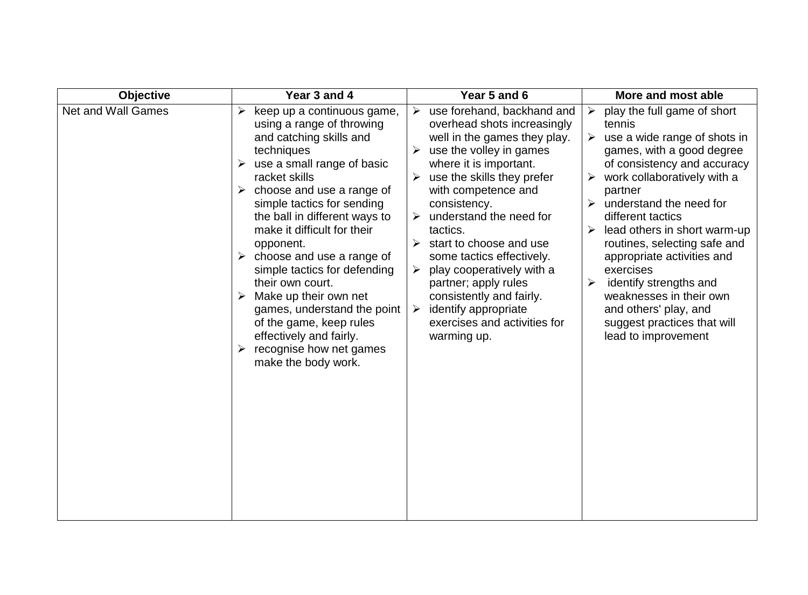| <b>Net and Wall Games</b><br>use forehand, backhand and<br>play the full game of short<br>keep up a continuous game,<br>$\blacktriangleright$<br>➤<br>➤<br>using a range of throwing<br>overhead shots increasingly<br>tennis<br>and catching skills and<br>well in the games they play.<br>$\blacktriangleright$<br>techniques<br>use the volley in games<br>games, with a good degree<br>use a small range of basic<br>where it is important.<br>use the skills they prefer<br>racket skills<br>work collaboratively with a<br>➤<br>$\triangleright$ choose and use a range of<br>with competence and<br>partner<br>understand the need for<br>simple tactics for sending<br>consistency.<br>➤<br>understand the need for<br>the ball in different ways to<br>different tactics<br>make it difficult for their<br>tactics.<br>start to choose and use<br>routines, selecting safe and<br>opponent.<br>choose and use a range of<br>some tactics effectively.<br>appropriate activities and<br>simple tactics for defending<br>play cooperatively with a<br>exercises<br>➤<br>identify strengths and<br>their own court.<br>partner; apply rules<br>➤<br>Make up their own net<br>consistently and fairly.<br>weaknesses in their own<br>games, understand the point<br>identify appropriate<br>and others' play, and<br>$\blacktriangleright$<br>of the game, keep rules<br>exercises and activities for<br>suggest practices that will<br>effectively and fairly.<br>lead to improvement<br>warming up.<br>recognise how net games<br>make the body work. | <b>Objective</b> | Year 3 and 4 | Year 5 and 6 | More and most able                                                                          |
|--------------------------------------------------------------------------------------------------------------------------------------------------------------------------------------------------------------------------------------------------------------------------------------------------------------------------------------------------------------------------------------------------------------------------------------------------------------------------------------------------------------------------------------------------------------------------------------------------------------------------------------------------------------------------------------------------------------------------------------------------------------------------------------------------------------------------------------------------------------------------------------------------------------------------------------------------------------------------------------------------------------------------------------------------------------------------------------------------------------------------------------------------------------------------------------------------------------------------------------------------------------------------------------------------------------------------------------------------------------------------------------------------------------------------------------------------------------------------------------------------------------------------------------------------------------|------------------|--------------|--------------|---------------------------------------------------------------------------------------------|
|                                                                                                                                                                                                                                                                                                                                                                                                                                                                                                                                                                                                                                                                                                                                                                                                                                                                                                                                                                                                                                                                                                                                                                                                                                                                                                                                                                                                                                                                                                                                                              |                  |              |              | use a wide range of shots in<br>of consistency and accuracy<br>lead others in short warm-up |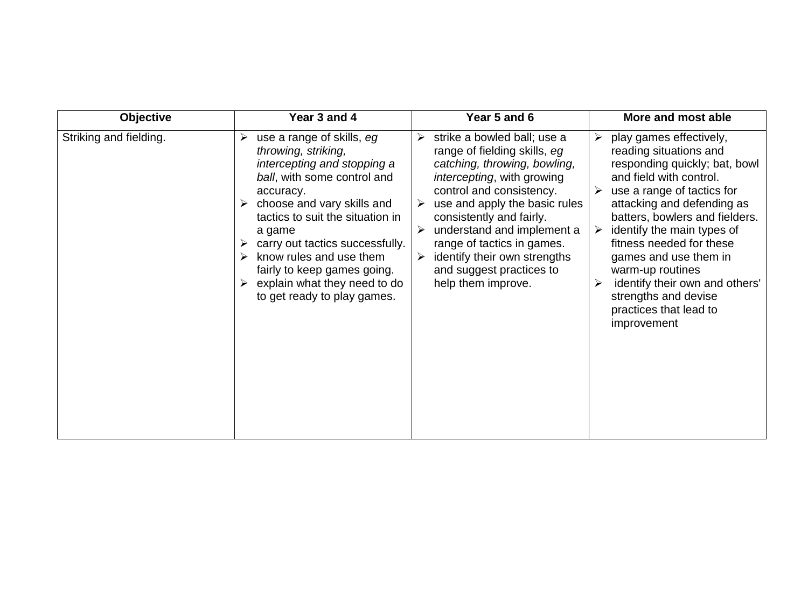| <b>Objective</b>       | Year 3 and 4                                                                                                                                                                                                                                                                                                                                                                                               | Year 5 and 6                                                                                                                                                                                                                                                                                                                                                          | More and most able                                                                                                                                                                                                                                                                                                                                                                                                                                       |
|------------------------|------------------------------------------------------------------------------------------------------------------------------------------------------------------------------------------------------------------------------------------------------------------------------------------------------------------------------------------------------------------------------------------------------------|-----------------------------------------------------------------------------------------------------------------------------------------------------------------------------------------------------------------------------------------------------------------------------------------------------------------------------------------------------------------------|----------------------------------------------------------------------------------------------------------------------------------------------------------------------------------------------------------------------------------------------------------------------------------------------------------------------------------------------------------------------------------------------------------------------------------------------------------|
| Striking and fielding. | use a range of skills, eg<br>➤<br>throwing, striking,<br>intercepting and stopping a<br>ball, with some control and<br>accuracy.<br>$\triangleright$ choose and vary skills and<br>tactics to suit the situation in<br>a game<br>carry out tactics successfully.<br>know rules and use them<br>fairly to keep games going.<br>$\triangleright$ explain what they need to do<br>to get ready to play games. | strike a bowled ball; use a<br>➤<br>range of fielding skills, eg<br>catching, throwing, bowling,<br>intercepting, with growing<br>control and consistency.<br>use and apply the basic rules<br>consistently and fairly.<br>understand and implement a<br>range of tactics in games.<br>identify their own strengths<br>and suggest practices to<br>help them improve. | play games effectively,<br>➤<br>reading situations and<br>responding quickly; bat, bowl<br>and field with control.<br>use a range of tactics for<br>$\blacktriangleright$<br>attacking and defending as<br>batters, bowlers and fielders.<br>identify the main types of<br>➤<br>fitness needed for these<br>games and use them in<br>warm-up routines<br>identify their own and others'<br>strengths and devise<br>practices that lead to<br>improvement |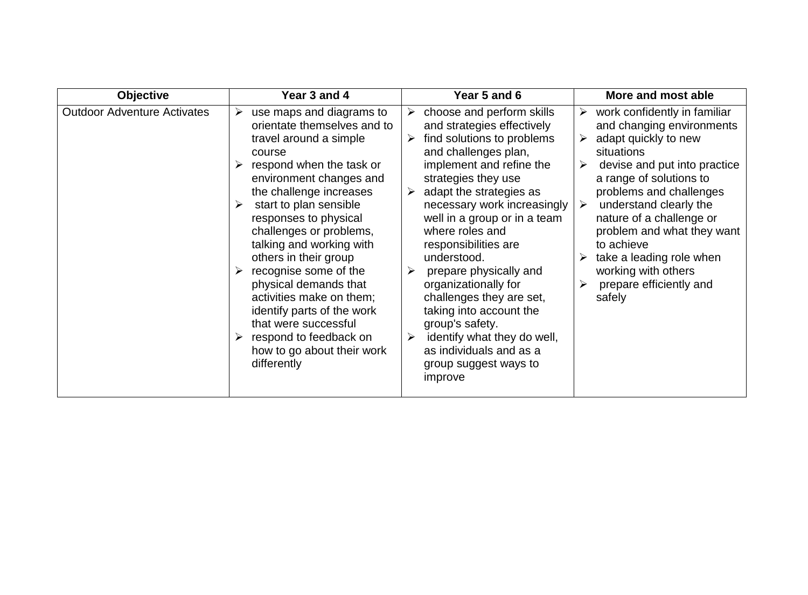| <b>Objective</b>                   | Year 3 and 4                                                                                                                                                                                                                                                                                                                                                                                                                                                                                                                                 | Year 5 and 6                                                                                                                                                                                                                                                                                                                                                                                                                                                                                                                                                            | More and most able                                                                                                                                                                                                                                                                                                                                                                                                                |
|------------------------------------|----------------------------------------------------------------------------------------------------------------------------------------------------------------------------------------------------------------------------------------------------------------------------------------------------------------------------------------------------------------------------------------------------------------------------------------------------------------------------------------------------------------------------------------------|-------------------------------------------------------------------------------------------------------------------------------------------------------------------------------------------------------------------------------------------------------------------------------------------------------------------------------------------------------------------------------------------------------------------------------------------------------------------------------------------------------------------------------------------------------------------------|-----------------------------------------------------------------------------------------------------------------------------------------------------------------------------------------------------------------------------------------------------------------------------------------------------------------------------------------------------------------------------------------------------------------------------------|
| <b>Outdoor Adventure Activates</b> | use maps and diagrams to<br>orientate themselves and to<br>travel around a simple<br>course<br>respond when the task or<br>environment changes and<br>the challenge increases<br>start to plan sensible<br>responses to physical<br>challenges or problems,<br>talking and working with<br>others in their group<br>$\triangleright$ recognise some of the<br>physical demands that<br>activities make on them;<br>identify parts of the work<br>that were successful<br>respond to feedback on<br>how to go about their work<br>differently | choose and perform skills<br>➤<br>and strategies effectively<br>find solutions to problems<br>➤<br>and challenges plan,<br>implement and refine the<br>strategies they use<br>adapt the strategies as<br>➤<br>necessary work increasingly<br>well in a group or in a team<br>where roles and<br>responsibilities are<br>understood.<br>prepare physically and<br>➤<br>organizationally for<br>challenges they are set,<br>taking into account the<br>group's safety.<br>identify what they do well,<br>➤<br>as individuals and as a<br>group suggest ways to<br>improve | work confidently in familiar<br>➤<br>and changing environments<br>adapt quickly to new<br>➤<br>situations<br>devise and put into practice<br>➤<br>a range of solutions to<br>problems and challenges<br>understand clearly the<br>$\blacktriangleright$<br>nature of a challenge or<br>problem and what they want<br>to achieve<br>take a leading role when<br>➤<br>working with others<br>prepare efficiently and<br>➤<br>safely |
|                                    |                                                                                                                                                                                                                                                                                                                                                                                                                                                                                                                                              |                                                                                                                                                                                                                                                                                                                                                                                                                                                                                                                                                                         |                                                                                                                                                                                                                                                                                                                                                                                                                                   |